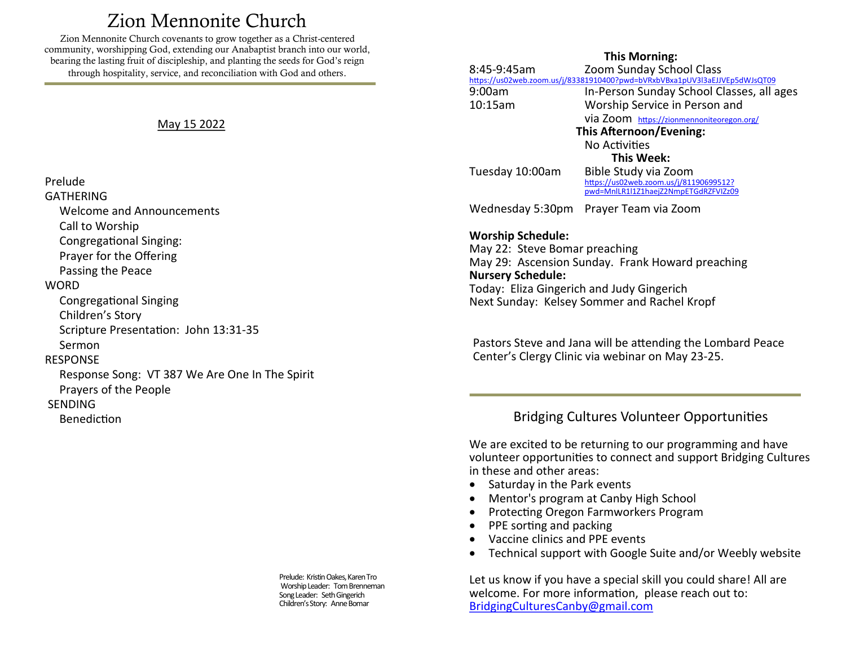# Zion Mennonite Church

<span id="page-0-0"></span>Zion Mennonite Church covenants to grow together as a Christ-centered community, worshipping God, extending our Anabaptist branch into our world, bearing the lasting fruit of discipleship, and planting the seeds for God's reign through hospitality, service, and reconciliation with God and others.

## May 15 2022

## Prelude

**GATHERING** 

Welcome and Announcements

Call to Worship

Congregational Singing:

Prayer for the Offering

Passing the Peace

#### **WORD**

Congregational Singing

Children's Story

Scripture Presentation: John 13:31-35

Sermon

# **RESPONSE**

 Response Song: VT 387 We Are One In The Spirit Prayers of the People

SENDING

Benediction

Prelude: Kristin Oakes, Karen Tro Worship Leader: Tom Brenneman Song Leader: Seth Gingerich Children's Story: Anne Bomar

## **This Morning:**

8:45-9:45am Zoom Sunday School Class <https://us02web.zoom.us/j/83381910400?pwd=bVRxbVBxa1pUV3l3aEJJVEp5dWJsQT09> 9:00am In-Person Sunday School Classes, all ages 10:15am Worship Service in Person and via Zoom [https://zionmennoniteoregon.org/](#page-0-0) **This Afternoon/Evening:** No Activities **This Week:** Tuesday 10:00am Bible Study via Zoom [https://us02web.zoom.us/j/81190699512?](https://us02web.zoom.us/j/81190699512?pwd=MnlLR1l1Z1haejZ2NmpETGdRZFVIZz09) [pwd=MnlLR1l1Z1haejZ2NmpETGdRZFVIZz09](https://us02web.zoom.us/j/81190699512?pwd=MnlLR1l1Z1haejZ2NmpETGdRZFVIZz09) Wednesday 5:30pm Prayer Team via Zoom **Worship Schedule:**  May 22: Steve Bomar preaching May 29: Ascension Sunday. Frank Howard preaching **Nursery Schedule:** Today: Eliza Gingerich and Judy Gingerich Next Sunday: Kelsey Sommer and Rachel Kropf

Pastors Steve and Jana will be attending the Lombard Peace Center's Clergy Clinic via webinar on May 23-25.

# Bridging Cultures Volunteer Opportunities

We are excited to be returning to our programming and have volunteer opportunities to connect and support Bridging Cultures in these and other areas:

- Saturday in the Park events
- Mentor's program at Canby High School
- Protecting Oregon Farmworkers Program
- PPE sorting and packing
- Vaccine clinics and PPE events
- Technical support with Google Suite and/or Weebly website

Let us know if you have a special skill you could share! All are welcome. For more information, please reach out to: [BridgingCulturesCanby@gmail.com](mailto:BridgingCulturesCanby@gmail.com)